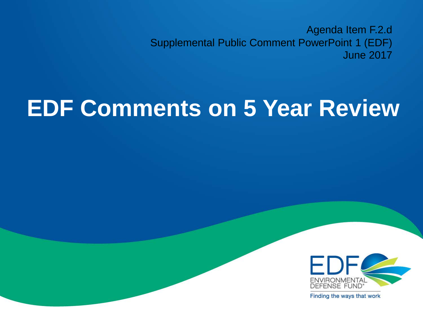Agenda Item F.2.d Supplemental Public Comment PowerPoint 1 (EDF) June 2017

# **EDF Comments on 5 Year Review**



Finding the ways that work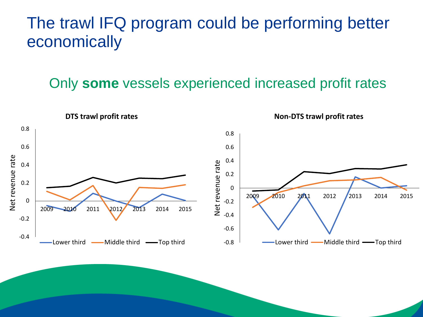### The trawl IFQ program could be performing better economically

#### Only **some** vessels experienced increased profit rates

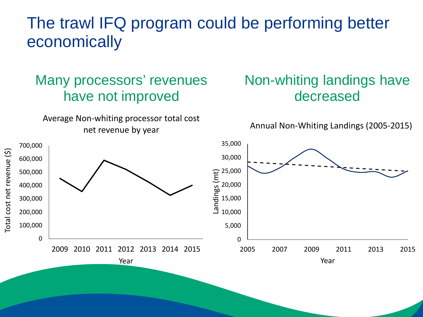### The trawl IFQ program could be performing better economically

#### Many processors' revenues have not improved

Average Non-whiting processor total cost net revenue by year

Year

0

100,000

200,000

300,000

400,000

Total cost net revenue (\$)

Total cost net revenue (\$)

500,000

600,000

700,000

#### Non-whiting landings have decreased

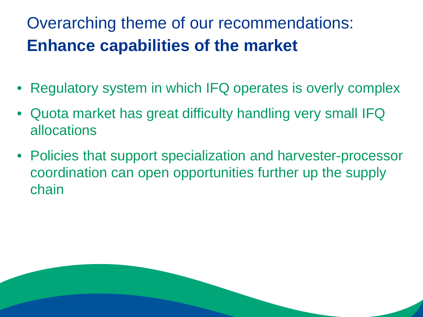# Overarching theme of our recommendations: **Enhance capabilities of the market**

- Regulatory system in which IFQ operates is overly complex
- Quota market has great difficulty handling very small IFQ allocations
- Policies that support specialization and harvester-processor coordination can open opportunities further up the supply chain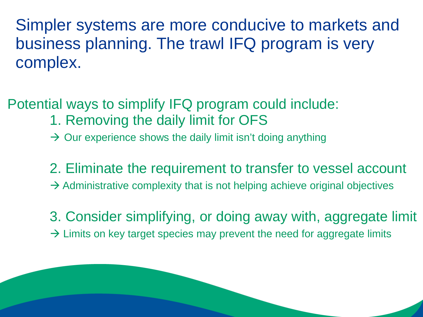Simpler systems are more conducive to markets and business planning. The trawl IFQ program is very complex.

Potential ways to simplify IFQ program could include: 1. Removing the daily limit for OFS

- $\rightarrow$  Our experience shows the daily limit isn't doing anything
- 2. Eliminate the requirement to transfer to vessel account  $\rightarrow$  Administrative complexity that is not helping achieve original objectives
- 3. Consider simplifying, or doing away with, aggregate limit  $\rightarrow$  Limits on key target species may prevent the need for aggregate limits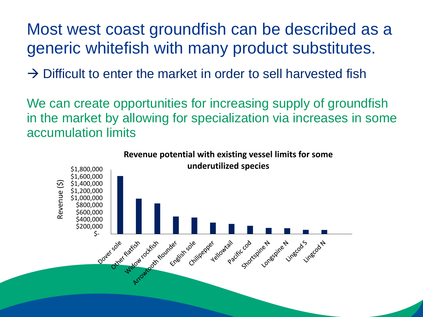Most west coast groundfish can be described as a generic whitefish with many product substitutes.

 $\rightarrow$  Difficult to enter the market in order to sell harvested fish

We can create opportunities for increasing supply of groundfish in the market by allowing for specialization via increases in some accumulation limits

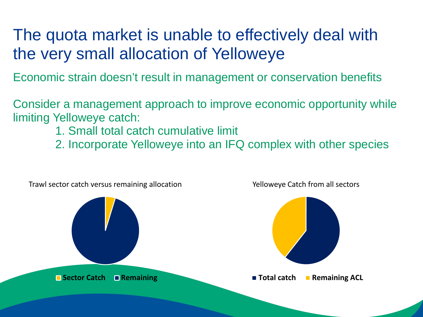## The quota market is unable to effectively deal with the very small allocation of Yelloweye

Economic strain doesn't result in management or conservation benefits

Consider a management approach to improve economic opportunity while limiting Yelloweye catch:

- 1. Small total catch cumulative limit
- 2. Incorporate Yelloweye into an IFQ complex with other species